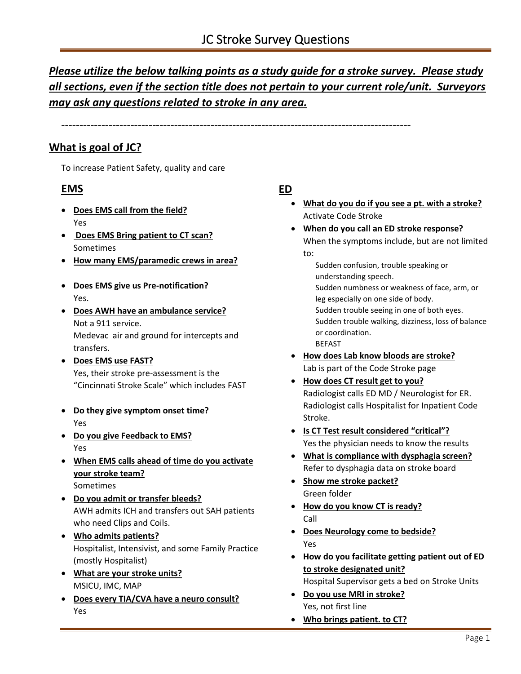# *Please utilize the below talking points as a study guide for a stroke survey. Please study all sections, even if the section title does not pertain to your current role/unit. Surveyors may ask any questions related to stroke in any area.*

------------------------------------------------------------------------------------------------

# **What is goal of JC?**

To increase Patient Safety, quality and care

# **EMS**

- **Does EMS call from the field?** Yes
- **Does EMS Bring patient to CT scan?** Sometimes
- **How many EMS/paramedic crews in area?**
- **Does EMS give us Pre-notification?** Yes.
- **Does AWH have an ambulance service?**  Not a 911 service.

Medevac air and ground for intercepts and transfers.

- **Does EMS use FAST?** Yes, their stroke pre-assessment is the "Cincinnati Stroke Scale" which includes FAST
- **Do they give symptom onset time?** Yes
- **Do you give Feedback to EMS?**  Yes
- **When EMS calls ahead of time do you activate your stroke team?** Sometimes
- **Do you admit or transfer bleeds?**  AWH admits ICH and transfers out SAH patients who need Clips and Coils.
- **Who admits patients?** Hospitalist, Intensivist, and some Family Practice (mostly Hospitalist)
- **What are your stroke units?**  MSICU, IMC, MAP
- **Does every TIA/CVA have a neuro consult?**  Yes

# **ED**

- **What do you do if you see a pt. with a stroke?**  Activate Code Stroke
- **When do you call an ED stroke response?** When the symptoms include, but are not limited to:

Sudden confusion, trouble speaking or understanding speech. Sudden numbness or weakness of face, arm, or leg especially on one side of body. Sudden trouble seeing in one of both eyes. Sudden trouble walking, dizziness, loss of balance or coordination. **BEFAST** 

- **How does Lab know bloods are stroke?** Lab is part of the Code Stroke page
- **How does CT result get to you?** Radiologist calls ED MD / Neurologist for ER. Radiologist calls Hospitalist for Inpatient Code Stroke.
- **Is CT Test result considered "critical"?** Yes the physician needs to know the results
- **What is compliance with dysphagia screen?** Refer to dysphagia data on stroke board
- **Show me stroke packet?** Green folder
- **How do you know CT is ready?** Call
- **Does Neurology come to bedside?** Yes
- **How do you facilitate getting patient out of ED to stroke designated unit?**  Hospital Supervisor gets a bed on Stroke Units
- **Do you use MRI in stroke?** Yes, not first line
- **Who brings patient. to CT?**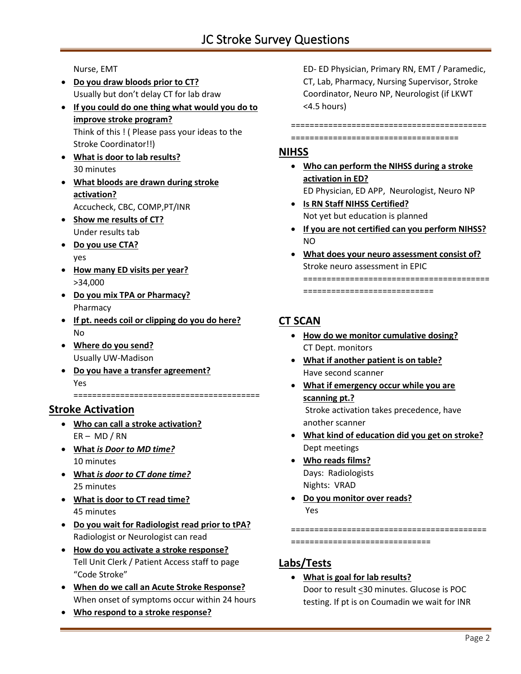Nurse, EMT

- **Do you draw bloods prior to CT?**  Usually but don't delay CT for lab draw
- **If you could do one thing what would you do to improve stroke program?** Think of this ! ( Please pass your ideas to the Stroke Coordinator!!)
- **What is door to lab results?** 30 minutes
- **What bloods are drawn during stroke activation?**  Accucheck, CBC, COMP,PT/INR
- **Show me results of CT?** Under results tab
- **Do you use CTA?**  yes
- **How many ED visits per year?**  >34,000
- **Do you mix TPA or Pharmacy?**  Pharmacy
- **If pt. needs coil or clipping do you do here?** No
- **Where do you send?** Usually UW-Madison
- **Do you have a transfer agreement?** Yes

**Stroke Activation**

• **Who can call a stroke activation?** ER – MD / RN

========================================

- **What** *is Door to MD time?* 10 minutes
- **What** *is door to CT done time?* 25 minutes
- **What is door to CT read time?** 45 minutes
- **Do you wait for Radiologist read prior to tPA?** Radiologist or Neurologist can read
- **How do you activate a stroke response?** Tell Unit Clerk / Patient Access staff to page "Code Stroke"
- **When do we call an Acute Stroke Response?** When onset of symptoms occur within 24 hours
- **Who respond to a stroke response?**

ED- ED Physician, Primary RN, EMT / Paramedic, CT, Lab, Pharmacy, Nursing Supervisor, Stroke Coordinator, Neuro NP, Neurologist (if LKWT <4.5 hours)

==========================================

====================================

### **NIHSS**

- **Who can perform the NIHSS during a stroke activation in ED?**  ED Physician, ED APP, Neurologist, Neuro NP
- **Is RN Staff NIHSS Certified?**  Not yet but education is planned
- **If you are not certified can you perform NIHSS?** NO
- **What does your neuro assessment consist of?** Stroke neuro assessment in EPIC ======================================== ============================

# **CT SCAN**

- **How do we monitor cumulative dosing?**  CT Dept. monitors
- **What if another patient is on table?** Have second scanner
- **What if emergency occur while you are scanning pt.?** Stroke activation takes precedence, have

another scanner

- **What kind of education did you get on stroke?** Dept meetings
- **Who reads films?**  Days: Radiologists Nights: VRAD
- **Do you monitor over reads?** Yes

========================================== ==============================

## **Labs/Tests**

#### • **What is goal for lab results?** Door to result <30 minutes. Glucose is POC testing. If pt is on Coumadin we wait for INR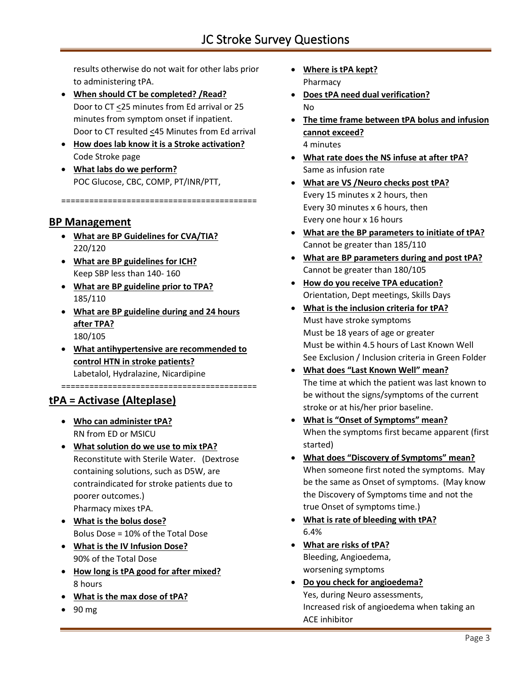results otherwise do not wait for other labs prior to administering tPA.

- **When should CT be completed? /Read?** Door to CT <25 minutes from Ed arrival or 25 minutes from symptom onset if inpatient. Door to CT resulted <45 Minutes from Ed arrival
- **How does lab know it is a Stroke activation?** Code Stroke page
- **What labs do we perform?**  POC Glucose, CBC, COMP, PT/INR/PTT,

==========================================

## **BP Management**

- **What are BP Guidelines for CVA/TIA?** 220/120
- **What are BP guidelines for ICH?** Keep SBP less than 140- 160
- **What are BP guideline prior to TPA?** 185/110
- **What are BP guideline during and 24 hours after TPA?**  180/105
- **What antihypertensive are recommended to control HTN in stroke patients?** Labetalol, Hydralazine, Nicardipine

==========================================

# **tPA = Activase (Alteplase)**

- **Who can administer tPA?** RN from ED or MSICU
- **What solution do we use to mix tPA?** Reconstitute with Sterile Water. (Dextrose containing solutions, such as D5W, are contraindicated for stroke patients due to poorer outcomes.) Pharmacy mixes tPA.
- **What is the bolus dose?** Bolus Dose = 10% of the Total Dose
- **What is the IV Infusion Dose?** 90% of the Total Dose
- **How long is tPA good for after mixed?** 8 hours
- **What is the max dose of tPA?**
- 90 mg
- **Where is tPA kept?** Pharmacy
- **Does tPA need dual verification?** No
- **The time frame between tPA bolus and infusion cannot exceed?** 4 minutes
- **What rate does the NS infuse at after tPA?** Same as infusion rate
- **What are VS /Neuro checks post tPA?** Every 15 minutes x 2 hours, then Every 30 minutes x 6 hours, then Every one hour x 16 hours
- **What are the BP parameters to initiate of tPA?** Cannot be greater than 185/110
- **What are BP parameters during and post tPA?** Cannot be greater than 180/105
- **How do you receive TPA education?** Orientation, Dept meetings, Skills Days
- **What is the inclusion criteria for tPA?**  Must have stroke symptoms Must be 18 years of age or greater Must be within 4.5 hours of Last Known Well See Exclusion / Inclusion criteria in Green Folder
- **What does "Last Known Well" mean?** The time at which the patient was last known to be without the signs/symptoms of the current stroke or at his/her prior baseline.
- **What is "Onset of Symptoms" mean?** When the symptoms first became apparent (first started)
- **What does "Discovery of Symptoms" mean?** When someone first noted the symptoms. May be the same as Onset of symptoms. (May know the Discovery of Symptoms time and not the true Onset of symptoms time.)
- **What is rate of bleeding with tPA?** 6.4%
- **What are risks of tPA?** Bleeding, Angioedema, worsening symptoms
- **Do you check for angioedema?**  Yes, during Neuro assessments, Increased risk of angioedema when taking an ACE inhibitor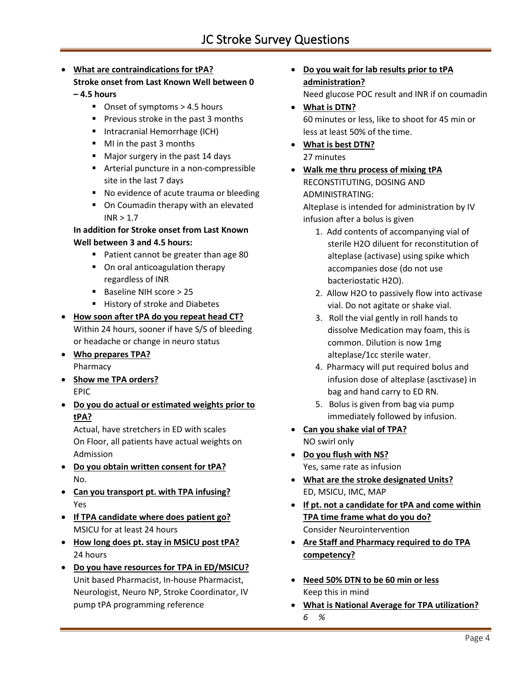### • **What are contraindications for tPA?**

### **Stroke onset from Last Known Well between 0**

#### **– 4.5 hours**

- Onset of symptoms > 4.5 hours
- Previous stroke in the past 3 months
- Intracranial Hemorrhage (ICH)
- MI in the past 3 months
- Major surgery in the past 14 days
- Arterial puncture in a non-compressible site in the last 7 days
- No evidence of acute trauma or bleeding
- On Coumadin therapy with an elevated  $INR > 1.7$

### **In addition for Stroke onset from Last Known Well between 3 and 4.5 hours:**

- Patient cannot be greater than age 80
- On oral anticoagulation therapy regardless of INR
- Baseline NIH score > 25
- History of stroke and Diabetes
- **How soon after tPA do you repeat head CT?** Within 24 hours, sooner if have S/S of bleeding or headache or change in neuro status
- **Who prepares TPA?** Pharmacy
- **Show me TPA orders?** EPIC
- **Do you do actual or estimated weights prior to tPA?**

Actual, have stretchers in ED with scales On Floor, all patients have actual weights on Admission

- **Do you obtain written consent for tPA?** No.
- **Can you transport pt. with TPA infusing?**  Yes
- **If TPA candidate where does patient go?** MSICU for at least 24 hours
- **How long does pt. stay in MSICU post tPA?** 24 hours
- **Do you have resources for TPA in ED/MSICU?** Unit based Pharmacist, In-house Pharmacist, Neurologist, Neuro NP, Stroke Coordinator, IV pump tPA programming reference
- **Do you wait for lab results prior to tPA administration?** Need glucose POC result and INR if on coumadin
- **What is DTN?** 60 minutes or less, like to shoot for 45 min or less at least 50% of the time.
- **What is best DTN?** 27 minutes
- **Walk me thru process of mixing tPA** RECONSTITUTING, DOSING AND ADMINISTRATING:

Alteplase is intended for administration by IV infusion after a bolus is given

- 1. Add contents of accompanying vial of sterile H2O diluent for reconstitution of alteplase (activase) using spike which accompanies dose (do not use bacteriostatic H2O).
- 2. Allow H2O to passively flow into activase vial. Do not agitate or shake vial.
- 3. Roll the vial gently in roll hands to dissolve Medication may foam, this is common. Dilution is now 1mg alteplase/1cc sterile water.
- 4. Pharmacy will put required bolus and infusion dose of alteplase (asctivase) in bag and hand carry to ED RN.
- 5. Bolus is given from bag via pump immediately followed by infusion.
- **Can you shake vial of TPA?** NO swirl only
- **Do you flush with NS?** Yes, same rate as infusion
- **What are the stroke designated Units?** ED, MSICU, IMC, MAP
- **If pt. not a candidate for tPA and come within TPA time frame what do you do?** Consider Neurointervention
- **Are Staff and Pharmacy required to do TPA competency?**
- **Need 50% DTN to be 60 min or less** Keep this in mind
- **What is National Average for TPA utilization?** *6 %*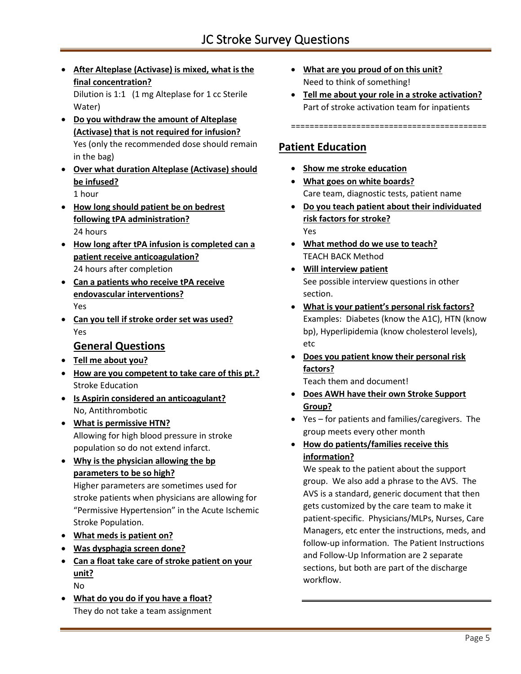• **After Alteplase (Activase) is mixed, what is the final concentration?**

Dilution is 1:1 (1 mg Alteplase for 1 cc Sterile Water)

- **Do you withdraw the amount of Alteplase (Activase) that is not required for infusion?** Yes (only the recommended dose should remain in the bag)
- **Over what duration Alteplase (Activase) should be infused?** 1 hour
- **How long should patient be on bedrest following tPA administration?** 24 hours
- **How long after tPA infusion is completed can a patient receive anticoagulation?** 24 hours after completion
- **Can a patients who receive tPA receive endovascular interventions?** Yes
- **Can you tell if stroke order set was used?**  Yes

# **General Questions**

- **Tell me about you?**
- **How are you competent to take care of this pt.?**  Stroke Education
- **Is Aspirin considered an anticoagulant?**  No, Antithrombotic
- **What is permissive HTN?**  Allowing for high blood pressure in stroke population so do not extend infarct.
- **Why is the physician allowing the bp parameters to be so high?**  Higher parameters are sometimes used for stroke patients when physicians are allowing for "Permissive Hypertension" in the Acute Ischemic Stroke Population.
- **What meds is patient on?**
- **Was dysphagia screen done?**
- **Can a float take care of stroke patient on your unit?** No
- **What do you do if you have a float?** They do not take a team assignment
- **What are you proud of on this unit?** Need to think of something!
- **Tell me about your role in a stroke activation?** Part of stroke activation team for inpatients

#### ==========================================

# **Patient Education**

- **Show me stroke education**
- **What goes on white boards?** Care team, diagnostic tests, patient name
- **Do you teach patient about their individuated risk factors for stroke?** Yes
- **What method do we use to teach?** TEACH BACK Method
- **Will interview patient** See possible interview questions in other section.
- **What is your patient's personal risk factors?** Examples: Diabetes (know the A1C), HTN (know bp), Hyperlipidemia (know cholesterol levels), etc
- **Does you patient know their personal risk factors?**

Teach them and document!

- **Does AWH have their own Stroke Support Group?**
- Yes for patients and families/caregivers. The group meets every other month
- **How do patients/families receive this information?**

We speak to the patient about the support group. We also add a phrase to the AVS. The AVS is a standard, generic document that then gets customized by the care team to make it patient-specific. Physicians/MLPs, Nurses, Care Managers, etc enter the instructions, meds, and follow-up information. The Patient Instructions and Follow-Up Information are 2 separate sections, but both are part of the discharge workflow.